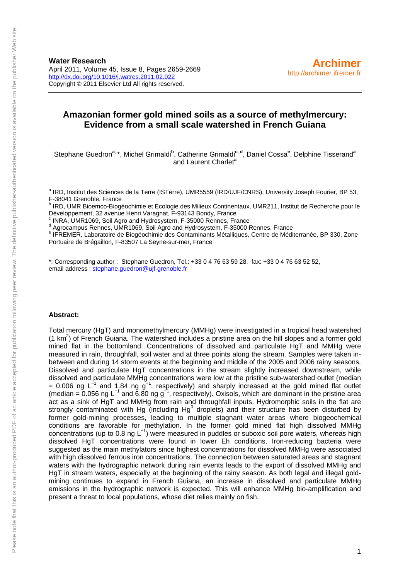# **Amazonian former gold mined soils as a source of methylmercury: Evidence from a small scale watershed in French Guiana**

Stephane Guedron<sup>a, \*</sup>, Michel Grimaldi<sup>b</sup>, Catherine Grimaldi<sup>c, d</sup>, Daniel Cossa<sup>e</sup>, Delphine Tisserand<sup>a</sup> and Laurent Charlet**<sup>a</sup>**

<sup>a</sup> IRD, Institut des Sciences de la Terre (ISTerre), UMR5559 (IRD/UJF/CNRS), University Joseph Fourier, BP 53, F-38041 Grenoble, France

<sup>b</sup> IRD, UMR Bioemco-Biogéochimie et Ecologie des Milieux Continentaux, UMR211, Institut de Recherche pour le Développement, 32 avenue Henri Varagnat, F-93143 Bondy, France

 $\textdegree$  INRA, UMR1069, Soil Agro and Hydrosystem, F-35000 Rennes, France

d Agrocampus Rennes, UMR1069, Soil Agro and Hydrosystem, F-35000 Rennes, France

e IFREMER, Laboratoire de Biogéochimie des Contaminants Métalliques, Centre de Méditerranée, BP 330, Zone Portuaire de Brégaillon, F-83507 La Seyne-sur-mer, France

\*: Corresponding author : Stephane Guedron, Tel.: +33 0 4 76 63 59 28, fax: +33 0 4 76 63 52 52, email address : [stephane.guedron@ujf-grenoble.fr](mailto:stephane.guedron@ujf-grenoble.fr)

#### **Abstract:**

Total mercury (HgT) and monomethylmercury (MMHg) were investigated in a tropical head watershed  $(1 \text{ km}^2)$  of French Guiana. The watershed includes a pristine area on the hill slopes and a former gold mined flat in the bottomland. Concentrations of dissolved and particulate HgT and MMHg were measured in rain, throughfall, soil water and at three points along the stream. Samples were taken inbetween and during 14 storm events at the beginning and middle of the 2005 and 2006 rainy seasons. Dissolved and particulate HgT concentrations in the stream slightly increased downstream, while dissolved and particulate MMHg concentrations were low at the pristine sub-watershed outlet (median = 0.006 ng L<sup>-1</sup> and 1.84 ng g<sup>-1</sup>, respectively) and sharply increased at the gold mined flat outlet (median = 0.056 ng L<sup>-1</sup> and 6.80 ng g<sup>-1</sup>, respectively). Oxisols, which are dominant in the pristine area act as a sink of HgT and MMHg from rain and throughfall inputs. Hydromorphic soils in the flat are strongly contaminated with Hg (including Hg $<sup>0</sup>$  droplets) and their structure has been disturbed by</sup> former gold-mining processes, leading to multiple stagnant water areas where biogeochemical conditions are favorable for methylation. In the former gold mined flat high dissolved MMHg concentrations (up to 0.8 ng L<sup>-1</sup>) were measured in puddles or suboxic soil pore waters, whereas high dissolved HgT concentrations were found in lower Eh conditions. Iron-reducing bacteria were suggested as the main methylators since highest concentrations for dissolved MMHg were associated with high dissolved ferrous iron concentrations. The connection between saturated areas and stagnant waters with the hydrographic network during rain events leads to the export of dissolved MMHg and HgT in stream waters, especially at the beginning of the rainy season. As both legal and illegal goldmining continues to expand in French Guiana, an increase in dissolved and particulate MMHg emissions in the hydrographic network is expected. This will enhance MMHg bio-amplification and present a threat to local populations, whose diet relies mainly on fish.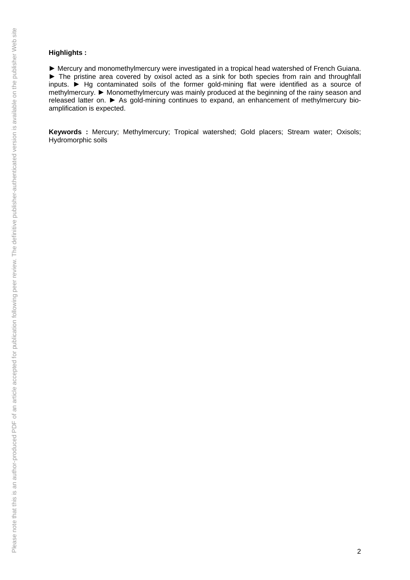#### **Highlights :**

► Mercury and monomethylmercury were investigated in a tropical head watershed of French Guiana. ► The pristine area covered by oxisol acted as a sink for both species from rain and throughfall inputs. ► Hg contaminated soils of the former gold-mining flat were identified as a source of methylmercury. ► Monomethylmercury was mainly produced at the beginning of the rainy season and released latter on. ► As gold-mining continues to expand, an enhancement of methylmercury bioamplification is expected.

**Keywords :** Mercury; Methylmercury; Tropical watershed; Gold placers; Stream water; Oxisols; Hydromorphic soils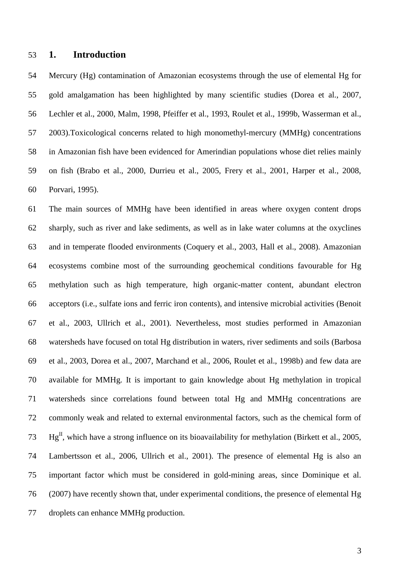## 53 **1. Introduction**

54 Mercury (Hg) contamination of Amazonian ecosystems through the use of elemental Hg for 55 gold amalgamation has been highlighted by many scientific studies (Dorea et al., 2007, 56 Lechler et al., 2000, Malm, 1998, Pfeiffer et al., 1993, Roulet et al., 1999b, Wasserman et al., 57 2003).Toxicological concerns related to high monomethyl-mercury (MMHg) concentrations 58 in Amazonian fish have been evidenced for Amerindian populations whose diet relies mainly 59 on fish (Brabo et al., 2000, Durrieu et al., 2005, Frery et al., 2001, Harper et al., 2008, 60 Porvari, 1995).

61 The main sources of MMHg have been identified in areas where oxygen content drops 62 sharply, such as river and lake sediments, as well as in lake water columns at the oxyclines 63 and in temperate flooded environments (Coquery et al., 2003, Hall et al., 2008). Amazonian 64 ecosystems combine most of the surrounding geochemical conditions favourable for Hg 65 methylation such as high temperature, high organic-matter content, abundant electron 66 acceptors (i.e., sulfate ions and ferric iron contents), and intensive microbial activities (Benoit 67 et al., 2003, Ullrich et al., 2001). Nevertheless, most studies performed in Amazonian 68 watersheds have focused on total Hg distribution in waters, river sediments and soils (Barbosa 69 et al., 2003, Dorea et al., 2007, Marchand et al., 2006, Roulet et al., 1998b) and few data are 70 available for MMHg. It is important to gain knowledge about Hg methylation in tropical 71 watersheds since correlations found between total Hg and MMHg concentrations are 72 commonly weak and related to external environmental factors, such as the chemical form of  $Hg<sup>II</sup>$ , which have a strong influence on its bioavailability for methylation (Birkett et al., 2005, 74 Lambertsson et al., 2006, Ullrich et al., 2001). The presence of elemental Hg is also an 75 important factor which must be considered in gold-mining areas, since Dominique et al. 76 (2007) have recently shown that, under experimental conditions, the presence of elemental Hg 77 droplets can enhance MMHg production.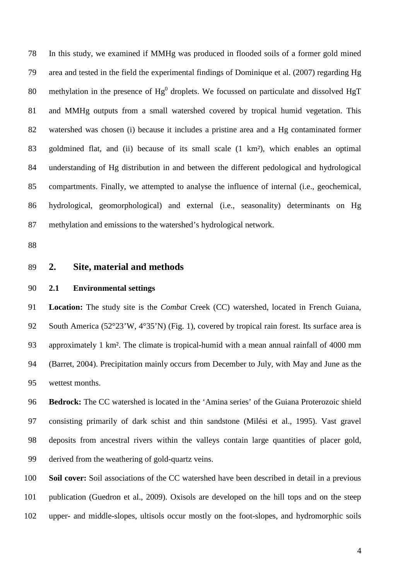78 In this study, we examined if MMHg was produced in flooded soils of a former gold mined 79 area and tested in the field the experimental findings of Dominique et al. (2007) regarding Hg 80 methylation in the presence of  $Hg^0$  droplets. We focussed on particulate and dissolved HgT 81 and MMHg outputs from a small watershed covered by tropical humid vegetation. This 82 watershed was chosen (i) because it includes a pristine area and a Hg contaminated former 83 goldmined flat, and (ii) because of its small scale (1 km²), which enables an optimal 84 understanding of Hg distribution in and between the different pedological and hydrological 85 compartments. Finally, we attempted to analyse the influence of internal (i.e., geochemical, 86 hydrological, geomorphological) and external (i.e., seasonality) determinants on Hg 87 methylation and emissions to the watershed's hydrological network.

88

89 **2. Site, material and methods** 

#### 90 **2.1 Environmental settings**

91 **Location:** The study site is the *Combat* Creek (CC) watershed, located in French Guiana, 92 South America (52°23'W, 4°35'N) (Fig. 1), covered by tropical rain forest. Its surface area is 93 approximately 1 km². The climate is tropical-humid with a mean annual rainfall of 4000 mm 94 (Barret, 2004). Precipitation mainly occurs from December to July, with May and June as the 95 wettest months.

96 **Bedrock:** The CC watershed is located in the 'Amina series' of the Guiana Proterozoic shield 97 consisting primarily of dark schist and thin sandstone (Milési et al., 1995). Vast gravel 98 deposits from ancestral rivers within the valleys contain large quantities of placer gold, 99 derived from the weathering of gold-quartz veins.

100 **Soil cover:** Soil associations of the CC watershed have been described in detail in a previous 101 publication (Guedron et al., 2009). Oxisols are developed on the hill tops and on the steep 102 upper- and middle-slopes, ultisols occur mostly on the foot-slopes, and hydromorphic soils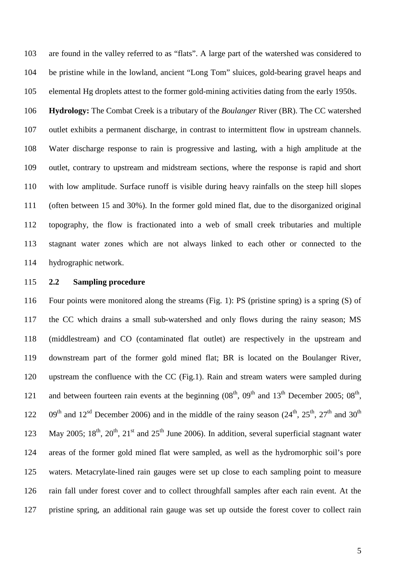103 are found in the valley referred to as "flats". A large part of the watershed was considered to 104 be pristine while in the lowland, ancient "Long Tom" sluices, gold-bearing gravel heaps and 105 elemental Hg droplets attest to the former gold-mining activities dating from the early 1950s.

106 **Hydrology:** The Combat Creek is a tributary of the *Boulanger* River (BR). The CC watershed 107 outlet exhibits a permanent discharge, in contrast to intermittent flow in upstream channels. 108 Water discharge response to rain is progressive and lasting, with a high amplitude at the 109 outlet, contrary to upstream and midstream sections, where the response is rapid and short 110 with low amplitude. Surface runoff is visible during heavy rainfalls on the steep hill slopes 111 (often between 15 and 30%). In the former gold mined flat, due to the disorganized original 112 topography, the flow is fractionated into a web of small creek tributaries and multiple 113 stagnant water zones which are not always linked to each other or connected to the 114 hydrographic network.

#### 115 **2.2 Sampling procedure**

116 Four points were monitored along the streams (Fig. 1): PS (pristine spring) is a spring (S) of 117 the CC which drains a small sub-watershed and only flows during the rainy season; MS 118 (middlestream) and CO (contaminated flat outlet) are respectively in the upstream and 119 downstream part of the former gold mined flat; BR is located on the Boulanger River, 120 upstream the confluence with the CC (Fig.1). Rain and stream waters were sampled during 121 and between fourteen rain events at the beginning  $(08<sup>th</sup>, 09<sup>th</sup>$  and  $13<sup>th</sup>$  December 2005;  $08<sup>th</sup>$ , 122 09<sup>th</sup> and 12<sup>sd</sup> December 2006) and in the middle of the rainy season (24<sup>th</sup>, 25<sup>th</sup>, 27<sup>th</sup> and 30<sup>th</sup> 123 May 2005;  $18^{th}$ ,  $20^{th}$ ,  $21^{st}$  and  $25^{th}$  June 2006). In addition, several superficial stagnant water 124 areas of the former gold mined flat were sampled, as well as the hydromorphic soil's pore 125 waters. Metacrylate-lined rain gauges were set up close to each sampling point to measure 126 rain fall under forest cover and to collect throughfall samples after each rain event. At the 127 pristine spring, an additional rain gauge was set up outside the forest cover to collect rain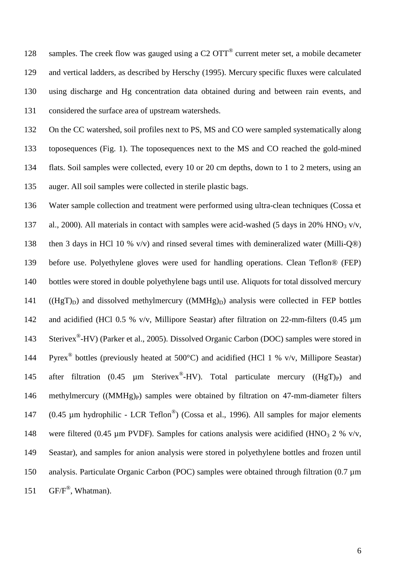128 samples. The creek flow was gauged using a C2  $\text{OTT}^{\circledast}$  current meter set, a mobile decameter 129 and vertical ladders, as described by Herschy (1995). Mercury specific fluxes were calculated 130 using discharge and Hg concentration data obtained during and between rain events, and 131 considered the surface area of upstream watersheds.

132 On the CC watershed, soil profiles next to PS, MS and CO were sampled systematically along 133 toposequences (Fig. 1). The toposequences next to the MS and CO reached the gold-mined 134 flats. Soil samples were collected, every 10 or 20 cm depths, down to 1 to 2 meters, using an 135 auger. All soil samples were collected in sterile plastic bags.

136 Water sample collection and treatment were performed using ultra-clean techniques (Cossa et 137 al., 2000). All materials in contact with samples were acid-washed (5 days in 20% HNO<sub>3</sub> v/v, 138 then 3 days in HCl 10 % v/v) and rinsed several times with demineralized water (Milli-Q®) 139 before use. Polyethylene gloves were used for handling operations. Clean Teflon® (FEP) 140 bottles were stored in double polyethylene bags until use. Aliquots for total dissolved mercury 141 ( $(HgT)_D$ ) and dissolved methylmercury ( $(MMHg)_D$ ) analysis were collected in FEP bottles 142 and acidified (HCl 0.5 % v/v, Millipore Seastar) after filtration on 22-mm-filters (0.45  $\mu$ m 143 Sterivex<sup>®</sup>-HV) (Parker et al., 2005). Dissolved Organic Carbon (DOC) samples were stored in 144 Pyrex<sup>®</sup> bottles (previously heated at 500°C) and acidified (HCl 1 % v/v, Millipore Seastar) 145 after filtration (0.45  $\mu$ m Sterivex®-HV). Total particulate mercury ((HgT)<sub>P</sub>) and 146 methylmercury ( $(MMHg)$ <sub>P</sub>) samples were obtained by filtration on 47-mm-diameter filters 147  $(0.45 \mu m)$  hydrophilic - LCR Teflon<sup>®</sup>) (Cossa et al., 1996). All samples for major elements 148 were filtered (0.45  $\mu$ m PVDF). Samples for cations analysis were acidified (HNO<sub>3</sub> 2 % v/v, 149 Seastar), and samples for anion analysis were stored in polyethylene bottles and frozen until 150 analysis. Particulate Organic Carbon (POC) samples were obtained through filtration (0.7 um 151  $GF/F^{\circledR}$ , Whatman).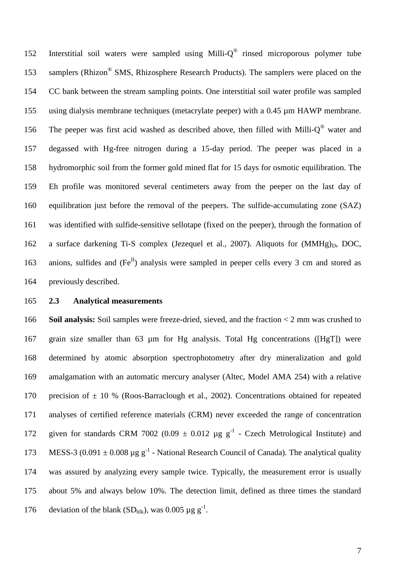152 Interstitial soil waters were sampled using Milli- $Q^{\circledast}$  rinsed microporous polymer tube 153 samplers (Rhizon® SMS, Rhizosphere Research Products). The samplers were placed on the 154 CC bank between the stream sampling points. One interstitial soil water profile was sampled 155 using dialysis membrane techniques (metacrylate peeper) with a 0.45 µm HAWP membrane. 156 The peeper was first acid washed as described above, then filled with Milli- $Q^@$  water and 157 degassed with Hg-free nitrogen during a 15-day period. The peeper was placed in a 158 hydromorphic soil from the former gold mined flat for 15 days for osmotic equilibration. The 159 Eh profile was monitored several centimeters away from the peeper on the last day of 160 equilibration just before the removal of the peepers. The sulfide-accumulating zone (SAZ) 161 was identified with sulfide-sensitive sellotape (fixed on the peeper), through the formation of 162 a surface darkening Ti-S complex (Jezequel et al., 2007). Aliquots for  $(MMHg)_{D}$ , DOC, 163 anions, sulfides and  $(Fe^{II})$  analysis were sampled in peeper cells every 3 cm and stored as 164 previously described.

#### 165 **2.3 Analytical measurements**

166 **Soil analysis:** Soil samples were freeze-dried, sieved, and the fraction < 2 mm was crushed to 167 grain size smaller than 63 µm for Hg analysis. Total Hg concentrations ([HgT]) were 168 determined by atomic absorption spectrophotometry after dry mineralization and gold 169 amalgamation with an automatic mercury analyser (Altec, Model AMA 254) with a relative 170 precision of  $\pm$  10 % (Roos-Barraclough et al., 2002). Concentrations obtained for repeated 171 analyses of certified reference materials (CRM) never exceeded the range of concentration 172 given for standards CRM 7002 (0.09  $\pm$  0.012 µg g<sup>-1</sup> - Czech Metrological Institute) and 173 MESS-3 (0.091  $\pm$  0.008 µg g<sup>-1</sup> - National Research Council of Canada). The analytical quality 174 was assured by analyzing every sample twice. Typically, the measurement error is usually 175 about 5% and always below 10%. The detection limit, defined as three times the standard 176 deviation of the blank (SD<sub>blk</sub>), was 0.005 ug  $g^{-1}$ .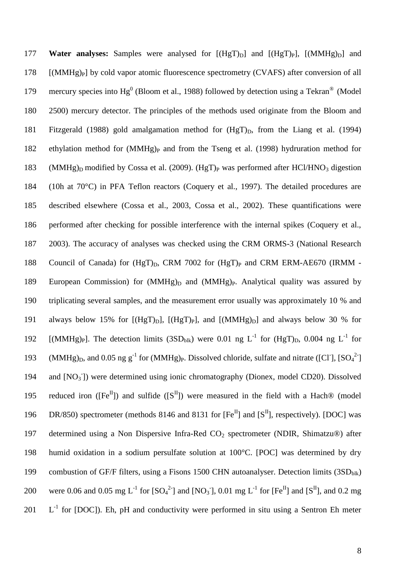177 **Water analyses:** Samples were analysed for  $[(HgT)_D]$  and  $[(HgT)_P]$ ,  $[(MMHg)_D]$  and 178 [(MMHg)<sub>P</sub>] by cold vapor atomic fluorescence spectrometry (CVAFS) after conversion of all 179 mercury species into  $Hg^0$  (Bloom et al., 1988) followed by detection using a Tekran<sup>®</sup> (Model 180 2500) mercury detector. The principles of the methods used originate from the Bloom and 181 Fitzgerald (1988) gold amalgamation method for  $(HgT)_D$ , from the Liang et al. (1994) 182 ethylation method for  $(MMHg)_P$  and from the Tseng et al. (1998) hydruration method for 183 (MMHg)<sub>D</sub> modified by Cossa et al. (2009). (HgT)<sub>P</sub> was performed after HCl/HNO<sub>3</sub> digestion 184 (10h at 70°C) in PFA Teflon reactors (Coquery et al., 1997). The detailed procedures are 185 described elsewhere (Cossa et al., 2003, Cossa et al., 2002). These quantifications were 186 performed after checking for possible interference with the internal spikes (Coquery et al., 187 2003). The accuracy of analyses was checked using the CRM ORMS-3 (National Research 188 Council of Canada) for  $(HgT)_D$ , CRM 7002 for  $(HgT)_P$  and CRM ERM-AE670 (IRMM -189 European Commission) for  $(MMHg)_D$  and  $(MMHg)_P$ . Analytical quality was assured by 190 triplicating several samples, and the measurement error usually was approximately 10 % and 191 always below 15% for  $[(HgT)_D]$ ,  $[(HgT)_P]$ , and  $[(MMHg)_D]$  and always below 30 % for 192 [(MMHg)<sub>P</sub>]. The detection limits (3SD<sub>blk</sub>) were 0.01 ng L<sup>-1</sup> for (HgT)<sub>D</sub>, 0.004 ng L<sup>-1</sup> for 193 (MMHg)<sub>D</sub>, and 0.05 ng g<sup>-1</sup> for (MMHg)<sub>P</sub>. Dissolved chloride, sulfate and nitrate ([Cl<sup>-</sup>], [SO<sub>4</sub><sup>2-</sup>] 194 and [NO<sub>3</sub><sup>-</sup>]) were determined using ionic chromatography (Dionex, model CD20). Dissolved 195 reduced iron ( $[Fe^{II}]$ ) and sulfide  $([S^{II}])$  were measured in the field with a Hach® (model 196 DR/850) spectrometer (methods 8146 and 8131 for  $[Fe^{II}]$  and  $[S^{II}]$ , respectively). [DOC] was 197 determined using a Non Dispersive Infra-Red CO<sub>2</sub> spectrometer (NDIR, Shimatzu®) after 198 humid oxidation in a sodium persulfate solution at 100°C. [POC] was determined by dry 199 combustion of GF/F filters, using a Fisons 1500 CHN autoanalyser. Detection limits  $(3SD_{h1k})$ 200 were 0.06 and 0.05 mg L<sup>-1</sup> for [SO<sub>4</sub><sup>2</sup>] and [NO<sub>3</sub>], 0.01 mg L<sup>-1</sup> for [Fe<sup>II</sup>] and [S<sup>II</sup>], and 0.2 mg 201  $L^{-1}$  for [DOC]). Eh, pH and conductivity were performed in situ using a Sentron Eh meter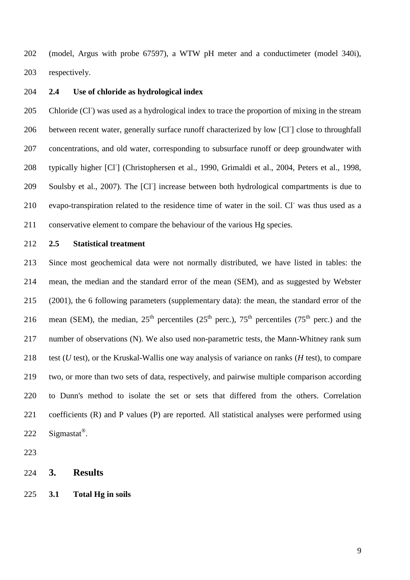202 (model, Argus with probe 67597), a WTW pH meter and a conductimeter (model 340i), 203 respectively.

#### 204 **2.4 Use of chloride as hydrological index**

205 Chloride (CI) was used as a hydrological index to trace the proportion of mixing in the stream 206 between recent water, generally surface runoff characterized by low [Cl<sup>-</sup>] close to throughfall 207 concentrations, and old water, corresponding to subsurface runoff or deep groundwater with 208 typically higher [Cl<sup>-</sup>] (Christophersen et al., 1990, Grimaldi et al., 2004, Peters et al., 1998, 209 Soulsby et al., 2007). The [Cl<sup>-</sup>] increase between both hydrological compartments is due to 210 evapo-transpiration related to the residence time of water in the soil. Cl was thus used as a 211 conservative element to compare the behaviour of the various Hg species.

#### 212 **2.5 Statistical treatment**

213 Since most geochemical data were not normally distributed, we have listed in tables: the 214 mean, the median and the standard error of the mean (SEM), and as suggested by Webster 215 (2001), the 6 following parameters (supplementary data): the mean, the standard error of the 216 mean (SEM), the median,  $25<sup>th</sup>$  percentiles ( $25<sup>th</sup>$  perc.),  $75<sup>th</sup>$  percentiles ( $75<sup>th</sup>$  perc.) and the 217 number of observations (N). We also used non-parametric tests, the Mann-Whitney rank sum 218 test (*U* test), or the Kruskal-Wallis one way analysis of variance on ranks (*H* test), to compare 219 two, or more than two sets of data, respectively, and pairwise multiple comparison according 220 to Dunn's method to isolate the set or sets that differed from the others. Correlation 221 coefficients (R) and P values (P) are reported. All statistical analyses were performed using 222 Sigmastat<sup>®</sup>.

223

| 3.<br><b>Results</b><br>224 |  |
|-----------------------------|--|
|-----------------------------|--|

225 **3.1 Total Hg in soils**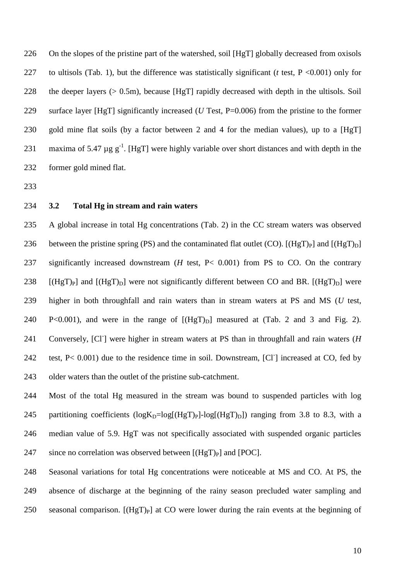226 On the slopes of the pristine part of the watershed, soil [HgT] globally decreased from oxisols 227 to ultisols (Tab. 1), but the difference was statistically significant (*t* test, P <0.001) only for 228 the deeper layers (> 0.5m), because [HgT] rapidly decreased with depth in the ultisols. Soil 229 surface layer [HgT] significantly increased (*U* Test, P=0.006) from the pristine to the former 230 gold mine flat soils (by a factor between 2 and 4 for the median values), up to a [HgT] 231 maxima of 5.47  $\mu$ g g<sup>-1</sup>. [HgT] were highly variable over short distances and with depth in the 232 former gold mined flat.

233

# 234 **3.2 Total Hg in stream and rain waters**

235 A global increase in total Hg concentrations (Tab. 2) in the CC stream waters was observed 236 between the pristine spring (PS) and the contaminated flat outlet (CO).  $[(HgT)_P]$  and  $[(HgT)_D]$ 237 significantly increased downstream (*H* test, P< 0.001) from PS to CO. On the contrary 238 [(HgT)<sub>P</sub>] and  $[(HgT)_D]$  were not significantly different between CO and BR.  $[(HgT)_D]$  were 239 higher in both throughfall and rain waters than in stream waters at PS and MS (*U* test, 240 P<0.001), and were in the range of  $[(HgT)_D]$  measured at (Tab. 2 and 3 and Fig. 2). 241 Conversely, [Cl<sup>-</sup>] were higher in stream waters at PS than in throughfall and rain waters (*H* 242 test,  $P < 0.001$ ) due to the residence time in soil. Downstream, [CI<sup>-</sup>] increased at CO, fed by 243 older waters than the outlet of the pristine sub-catchment.

244 Most of the total Hg measured in the stream was bound to suspended particles with log 245 partitioning coefficients  $(log K<sub>D</sub>=log[(HgT)<sub>P</sub>]$ -log[ $(HgT)<sub>D</sub>$ ]) ranging from 3.8 to 8.3, with a 246 median value of 5.9. HgT was not specifically associated with suspended organic particles 247 since no correlation was observed between  $[(HgT)<sub>P</sub>]$  and  $[POC]$ .

248 Seasonal variations for total Hg concentrations were noticeable at MS and CO. At PS, the 249 absence of discharge at the beginning of the rainy season precluded water sampling and 250 seasonal comparison.  $[(HgT)<sub>p</sub>]$  at CO were lower during the rain events at the beginning of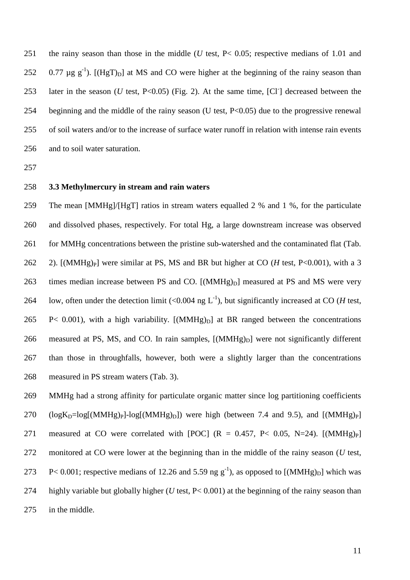251 the rainy season than those in the middle (*U* test, P< 0.05; respective medians of 1.01 and 252 0.77  $\mu$ g g<sup>-1</sup>). [(HgT)<sub>D</sub>] at MS and CO were higher at the beginning of the rainy season than 253 later in the season ( $U$  test, P<0.05) (Fig. 2). At the same time, [Cl<sup>-</sup>] decreased between the 254 beginning and the middle of the rainy season (U test, P<0.05) due to the progressive renewal 255 of soil waters and/or to the increase of surface water runoff in relation with intense rain events 256 and to soil water saturation.



## 258 **3.3 Methylmercury in stream and rain waters**

259 The mean [MMHg]/[HgT] ratios in stream waters equalled 2 % and 1 %, for the particulate 260 and dissolved phases, respectively. For total Hg, a large downstream increase was observed 261 for MMHg concentrations between the pristine sub-watershed and the contaminated flat (Tab. 262 2).  $[MMHg<sub>p</sub>]$  were similar at PS, MS and BR but higher at CO (*H* test, P<0.001), with a 3 263 times median increase between PS and CO.  $[(MMHg)_D]$  measured at PS and MS were very 264 low, often under the detection limit  $(<0.004$  ng L<sup>-1</sup>), but significantly increased at CO (*H* test, 265 P< 0.001), with a high variability.  $[(MMHg)_D]$  at BR ranged between the concentrations 266 measured at PS, MS, and CO. In rain samples,  $[(MMHg)_D]$  were not significantly different 267 than those in throughfalls, however, both were a slightly larger than the concentrations 268 measured in PS stream waters (Tab. 3).

269 MMHg had a strong affinity for particulate organic matter since log partitioning coefficients  $270$  (logK<sub>D</sub>=log[(MMHg)<sub>P</sub>]-log[(MMHg)<sub>D</sub>]) were high (between 7.4 and 9.5), and [(MMHg)<sub>P</sub>] 271 measured at CO were correlated with [POC]  $(R = 0.457, P < 0.05, N = 24)$ . [(MMHg)<sub>P</sub>] 272 monitored at CO were lower at the beginning than in the middle of the rainy season (*U* test, 273 P< 0.001; respective medians of 12.26 and 5.59 ng  $g^{-1}$ ), as opposed to  $[(MMHg)_D]$  which was 274 highly variable but globally higher (*U* test, P< 0.001) at the beginning of the rainy season than 275 in the middle.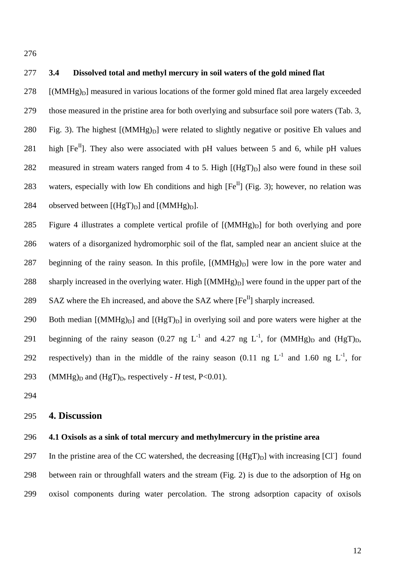#### 277 **3.4 Dissolved total and methyl mercury in soil waters of the gold mined flat**

 $278$  [(MMHg)<sub>D</sub>] measured in various locations of the former gold mined flat area largely exceeded 279 those measured in the pristine area for both overlying and subsurface soil pore waters (Tab. 3, 280 Fig. 3). The highest  $[(MMHg)_D]$  were related to slightly negative or positive Eh values and 281 high  $[Fe^{II}]$ . They also were associated with pH values between 5 and 6, while pH values 282 measured in stream waters ranged from 4 to 5. High  $[(HgT)_D]$  also were found in these soil 283 waters, especially with low Eh conditions and high  $[Fe^{II}]$  (Fig. 3); however, no relation was 284 observed between  $[(HgT)_D]$  and  $[(MMHg)_D]$ .

285 Figure 4 illustrates a complete vertical profile of  $[(MMHg)_D]$  for both overlying and pore 286 waters of a disorganized hydromorphic soil of the flat, sampled near an ancient sluice at the 287 beginning of the rainy season. In this profile,  $[(MMHg)_D]$  were low in the pore water and 288 sharply increased in the overlying water. High  $[(MMHg)_D]$  were found in the upper part of the SAZ where the Eh increased, and above the SAZ where  $[Fe^{II}]$  sharply increased.

290 Both median  $[(MMHg)_D]$  and  $[(HgT)_D]$  in overlying soil and pore waters were higher at the 291 beginning of the rainy season (0.27 ng  $L^{-1}$  and 4.27 ng  $L^{-1}$ , for (MMHg)<sub>D</sub> and (HgT)<sub>D</sub>, 292 respectively) than in the middle of the rainy season  $(0.11 \text{ ng } L^{-1}$  and 1.60 ng  $L^{-1}$ , for 293 (MMHg)<sub>D</sub> and (HgT)<sub>D</sub>, respectively - *H* test, P<0.01).

294

## 295 **4. Discussion**

#### 296 **4.1 Oxisols as a sink of total mercury and methylmercury in the pristine area**

297 In the pristine area of the CC watershed, the decreasing  $[(HgT)_D]$  with increasing [Cl] found 298 between rain or throughfall waters and the stream (Fig. 2) is due to the adsorption of Hg on 299 oxisol components during water percolation. The strong adsorption capacity of oxisols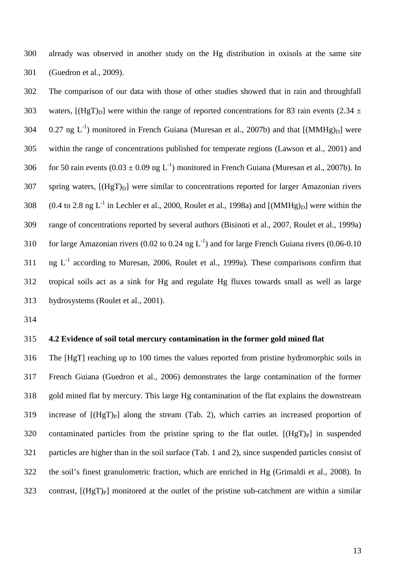300 already was observed in another study on the Hg distribution in oxisols at the same site 301 (Guedron et al., 2009).

302 The comparison of our data with those of other studies showed that in rain and throughfall 303 waters,  $[(HgT)_D]$  were within the range of reported concentrations for 83 rain events (2.34  $\pm$ 304 0.27 ng  $L^{-1}$ ) monitored in French Guiana (Muresan et al., 2007b) and that  $[(MMHg)_D]$  were 305 within the range of concentrations published for temperate regions (Lawson et al., 2001) and 306 for 50 rain events  $(0.03 \pm 0.09 \text{ ng L}^{-1})$  monitored in French Guiana (Muresan et al., 2007b). In  $307$  spring waters,  $[(HgT)_D]$  were similar to concentrations reported for larger Amazonian rivers 308 (0.4 to 2.8 ng L<sup>-1</sup> in Lechler et al., 2000, Roulet et al., 1998a) and  $[(MMHg)_D]$  were within the 309 range of concentrations reported by several authors (Bisinoti et al., 2007, Roulet et al., 1999a) 310 for large Amazonian rivers (0.02 to 0.24 ng  $L^{-1}$ ) and for large French Guiana rivers (0.06-0.10 311 according to Muresan, 2006, Roulet et al., 1999a). These comparisons confirm that 312 tropical soils act as a sink for Hg and regulate Hg fluxes towards small as well as large 313 hydrosystems (Roulet et al., 2001).

314

## 315 **4.2 Evidence of soil total mercury contamination in the former gold mined flat**

316 The [HgT] reaching up to 100 times the values reported from pristine hydromorphic soils in 317 French Guiana (Guedron et al., 2006) demonstrates the large contamination of the former 318 gold mined flat by mercury. This large Hg contamination of the flat explains the downstream 319 increase of  $[(HgT)<sub>p</sub>]$  along the stream (Tab. 2), which carries an increased proportion of 320 contaminated particles from the pristine spring to the flat outlet.  $[(HgT)_P]$  in suspended 321 particles are higher than in the soil surface (Tab. 1 and 2), since suspended particles consist of 322 the soil's finest granulometric fraction, which are enriched in Hg (Grimaldi et al., 2008). In 323 contrast,  $[(HgT)<sub>p</sub>]$  monitored at the outlet of the pristine sub-catchment are within a similar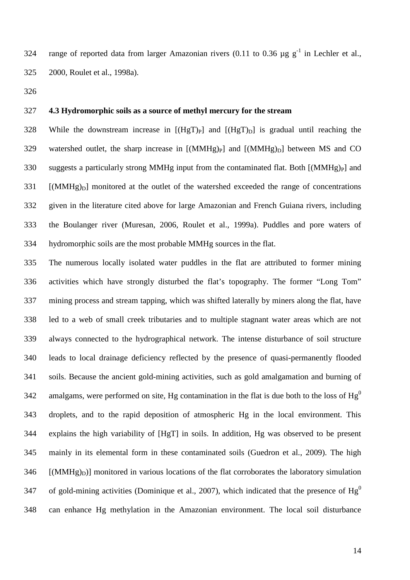324 range of reported data from larger Amazonian rivers (0.11 to 0.36  $\mu$ g g<sup>-1</sup> in Lechler et al., 325 2000, Roulet et al., 1998a).

326

## 327 **4.3 Hydromorphic soils as a source of methyl mercury for the stream**

328 While the downstream increase in  $[(HgT)_P]$  and  $[(HgT)_D]$  is gradual until reaching the 329 watershed outlet, the sharp increase in  $[(MMHg)_P]$  and  $[(MMHg)_D]$  between MS and CO 330 suggests a particularly strong MMHg input from the contaminated flat. Both  $[(MMHg)_P]$  and  $331$  [(MMHg)<sub>D</sub>] monitored at the outlet of the watershed exceeded the range of concentrations 332 given in the literature cited above for large Amazonian and French Guiana rivers, including 333 the Boulanger river (Muresan, 2006, Roulet et al., 1999a). Puddles and pore waters of 334 hydromorphic soils are the most probable MMHg sources in the flat.

335 The numerous locally isolated water puddles in the flat are attributed to former mining 336 activities which have strongly disturbed the flat's topography. The former "Long Tom" 337 mining process and stream tapping, which was shifted laterally by miners along the flat, have 338 led to a web of small creek tributaries and to multiple stagnant water areas which are not 339 always connected to the hydrographical network. The intense disturbance of soil structure 340 leads to local drainage deficiency reflected by the presence of quasi-permanently flooded 341 soils. Because the ancient gold-mining activities, such as gold amalgamation and burning of amalgams, were performed on site, Hg contamination in the flat is due both to the loss of  $Hg^0$ 342 343 droplets, and to the rapid deposition of atmospheric Hg in the local environment. This 344 explains the high variability of [HgT] in soils. In addition, Hg was observed to be present 345 mainly in its elemental form in these contaminated soils (Guedron et al., 2009). The high  $346$  [(MMHg)<sub>D</sub>)] monitored in various locations of the flat corroborates the laboratory simulation of gold-mining activities (Dominique et al., 2007), which indicated that the presence of  $Hg^0$ 347 348 can enhance Hg methylation in the Amazonian environment. The local soil disturbance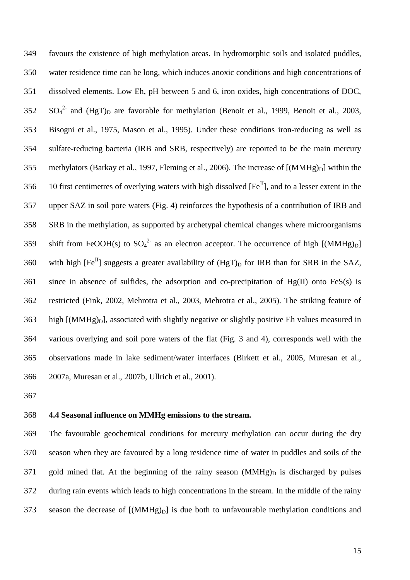349 favours the existence of high methylation areas. In hydromorphic soils and isolated puddles, 350 water residence time can be long, which induces anoxic conditions and high concentrations of 351 dissolved elements. Low Eh, pH between 5 and 6, iron oxides, high concentrations of DOC,  $SO_4^2$  and  $(HgT)_D$  are favorable for methylation (Benoit et al., 1999, Benoit et al., 2003, 353 Bisogni et al., 1975, Mason et al., 1995). Under these conditions iron-reducing as well as 354 sulfate-reducing bacteria (IRB and SRB, respectively) are reported to be the main mercury 355 methylators (Barkay et al., 1997, Fleming et al., 2006). The increase of  $[(MMHg)_D]$  within the 10 first centimetres of overlying waters with high dissolved  $[Fe^{II}]$ , and to a lesser extent in the 357 upper SAZ in soil pore waters (Fig. 4) reinforces the hypothesis of a contribution of IRB and 358 SRB in the methylation, as supported by archetypal chemical changes where microorganisms 359 shift from FeOOH(s) to  $SO_4^2$  as an electron acceptor. The occurrence of high [(MMHg)<sub>D</sub>] 360 with high  $[Fe^{II}]$  suggests a greater availability of  $(HgT)_D$  for IRB than for SRB in the SAZ, 361 since in absence of sulfides, the adsorption and co-precipitation of Hg(II) onto FeS(s) is 362 restricted (Fink, 2002, Mehrotra et al., 2003, Mehrotra et al., 2005). The striking feature of  $363$  high  $[(MMHg)_D]$ , associated with slightly negative or slightly positive Eh values measured in 364 various overlying and soil pore waters of the flat (Fig. 3 and 4), corresponds well with the 365 observations made in lake sediment/water interfaces (Birkett et al., 2005, Muresan et al., 366 2007a, Muresan et al., 2007b, Ullrich et al., 2001).

367

## 368 **4.4 Seasonal influence on MMHg emissions to the stream.**

369 The favourable geochemical conditions for mercury methylation can occur during the dry 370 season when they are favoured by a long residence time of water in puddles and soils of the 371 gold mined flat. At the beginning of the rainy season  $(MMHg)_D$  is discharged by pulses 372 during rain events which leads to high concentrations in the stream. In the middle of the rainy 373 season the decrease of  $[(MMHg)_D]$  is due both to unfavourable methylation conditions and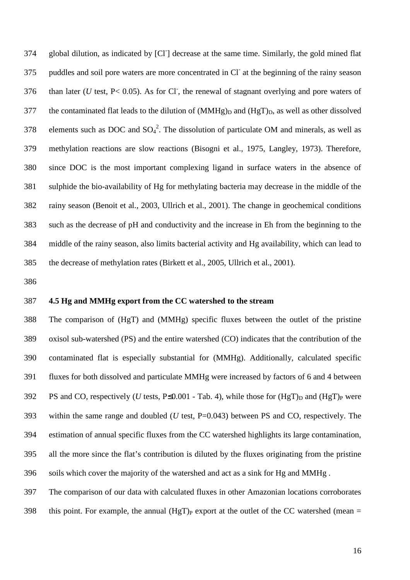374 global dilution, as indicated by [CI] decrease at the same time. Similarly, the gold mined flat 375 puddles and soil pore waters are more concentrated in Cl<sup>-</sup> at the beginning of the rainy season 376 than later ( $U$  test,  $P < 0.05$ ). As for Cl<sup>-</sup>, the renewal of stagnant overlying and pore waters of 377 the contaminated flat leads to the dilution of  $(MMHg)_D$  and  $(HgT)_D$ , as well as other dissolved 378 elements such as DOC and  $SO_4^2$ . The dissolution of particulate OM and minerals, as well as 379 methylation reactions are slow reactions (Bisogni et al., 1975, Langley, 1973). Therefore, 380 since DOC is the most important complexing ligand in surface waters in the absence of 381 sulphide the bio-availability of Hg for methylating bacteria may decrease in the middle of the 382 rainy season (Benoit et al., 2003, Ullrich et al., 2001). The change in geochemical conditions 383 such as the decrease of pH and conductivity and the increase in Eh from the beginning to the 384 middle of the rainy season, also limits bacterial activity and Hg availability, which can lead to 385 the decrease of methylation rates (Birkett et al., 2005, Ullrich et al., 2001).

386

## 387 **4.5 Hg and MMHg export from the CC watershed to the stream**

388 The comparison of (HgT) and (MMHg) specific fluxes between the outlet of the pristine 389 oxisol sub-watershed (PS) and the entire watershed (CO) indicates that the contribution of the 390 contaminated flat is especially substantial for (MMHg). Additionally, calculated specific 391 fluxes for both dissolved and particulate MMHg were increased by factors of 6 and 4 between 392 PS and CO, respectively (*U* tests, P≤0.001 - Tab. 4), while those for  $(HgT)<sub>D</sub>$  and  $(HgT)<sub>P</sub>$  were 393 within the same range and doubled (*U* test, P=0.043) between PS and CO, respectively. The 394 estimation of annual specific fluxes from the CC watershed highlights its large contamination, 395 all the more since the flat's contribution is diluted by the fluxes originating from the pristine 396 soils which cover the majority of the watershed and act as a sink for Hg and MMHg .

397 The comparison of our data with calculated fluxes in other Amazonian locations corroborates

398 this point. For example, the annual  $(HgT)<sub>P</sub>$  export at the outlet of the CC watershed (mean =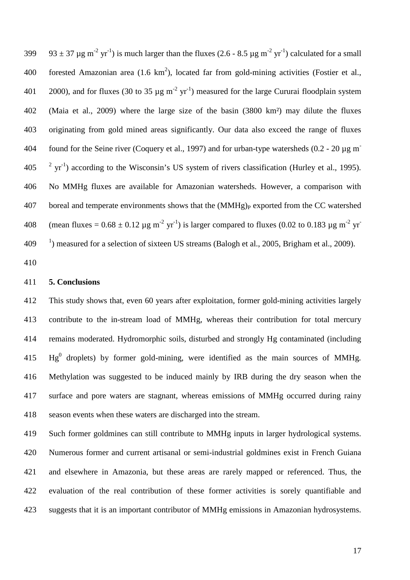399  $93 \pm 37 \,\mu g \, \text{m}^{-2} \, \text{yr}^{-1}$ ) is much larger than the fluxes (2.6 - 8.5  $\mu g \, \text{m}^{-2} \, \text{yr}^{-1}$ ) calculated for a small 400 forested Amazonian area  $(1.6 \text{ km}^2)$ , located far from gold-mining activities (Fostier et al., 401 2000), and for fluxes (30 to 35  $\mu$ g m<sup>-2</sup> yr<sup>-1</sup>) measured for the large Cururai floodplain system 402 (Maia et al., 2009) where the large size of the basin (3800 km²) may dilute the fluxes 403 originating from gold mined areas significantly. Our data also exceed the range of fluxes found for the Seine river (Coquery et al., 1997) and for urban-type watersheds (0.2 - 20 µg m-404  $2^2$  yr<sup>-1</sup>) according to the Wisconsin's US system of rivers classification (Hurley et al., 1995). 406 No MMHg fluxes are available for Amazonian watersheds. However, a comparison with  $407$  boreal and temperate environments shows that the  $(MMHg)<sub>P</sub>$  exported from the CC watershed (mean fluxes =  $0.68 \pm 0.12 \,\mu g \text{ m}^{-2} \text{ yr}^{-1}$ ) is larger compared to fluxes (0.02 to 0.183  $\mu g \text{ m}^{-2} \text{ yr}^{-1}$ 408  $10^{1}$ ) measured for a selection of sixteen US streams (Balogh et al., 2005, Brigham et al., 2009).

410

#### 411 **5. Conclusions**

412 This study shows that, even 60 years after exploitation, former gold-mining activities largely 413 contribute to the in-stream load of MMHg, whereas their contribution for total mercury 414 remains moderated. Hydromorphic soils, disturbed and strongly Hg contaminated (including Hg<sup>0</sup> 415 droplets) by former gold-mining, were identified as the main sources of MMHg*.* 416 Methylation was suggested to be induced mainly by IRB during the dry season when the 417 surface and pore waters are stagnant, whereas emissions of MMHg occurred during rainy 418 season events when these waters are discharged into the stream.

419 Such former goldmines can still contribute to MMHg inputs in larger hydrological systems. 420 Numerous former and current artisanal or semi-industrial goldmines exist in French Guiana 421 and elsewhere in Amazonia, but these areas are rarely mapped or referenced. Thus, the 422 evaluation of the real contribution of these former activities is sorely quantifiable and 423 suggests that it is an important contributor of MMHg emissions in Amazonian hydrosystems.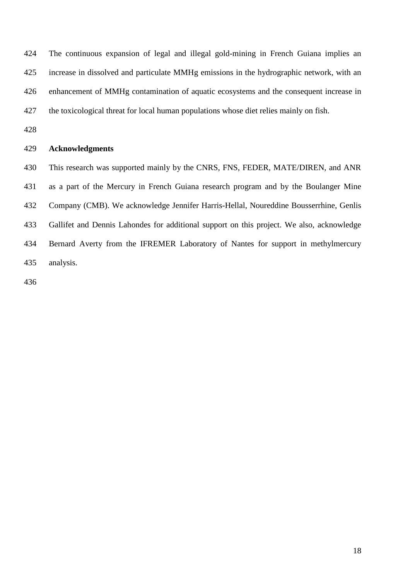424 The continuous expansion of legal and illegal gold-mining in French Guiana implies an 425 increase in dissolved and particulate MMHg emissions in the hydrographic network, with an 426 enhancement of MMHg contamination of aquatic ecosystems and the consequent increase in 427 the toxicological threat for local human populations whose diet relies mainly on fish.

428

# 429 **Acknowledgments**

430 This research was supported mainly by the CNRS, FNS, FEDER, MATE/DIREN, and ANR 431 as a part of the Mercury in French Guiana research program and by the Boulanger Mine 432 Company (CMB). We acknowledge Jennifer Harris-Hellal, Noureddine Bousserrhine, Genlis 433 Gallifet and Dennis Lahondes for additional support on this project. We also, acknowledge 434 Bernard Averty from the IFREMER Laboratory of Nantes for support in methylmercury 435 analysis.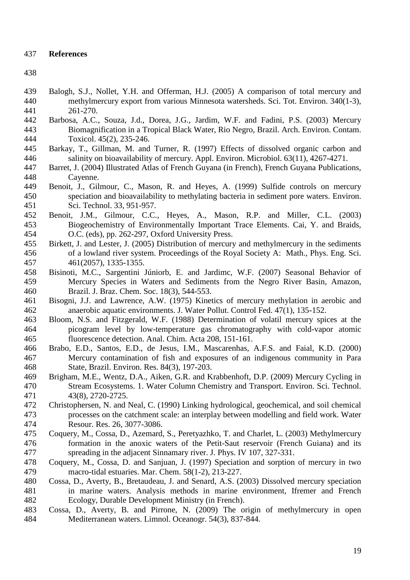## 437 **References**

- 438
- 439 Balogh, S.J., Nollet, Y.H. and Offerman, H.J. (2005) A comparison of total mercury and 440 methylmercury export from various Minnesota watersheds. Sci. Tot. Environ. 340(1-3), 441 261-270.
- 442 Barbosa, A.C., Souza, J.d., Dorea, J.G., Jardim, W.F. and Fadini, P.S. (2003) Mercury 443 Biomagnification in a Tropical Black Water, Rio Negro, Brazil. Arch. Environ. Contam. 444 Toxicol. 45(2), 235-246.
- 445 Barkay, T., Gillman, M. and Turner, R. (1997) Effects of dissolved organic carbon and 446 salinity on bioavailability of mercury. Appl. Environ. Microbiol. 63(11), 4267-4271.
- 447 Barret, J. (2004) Illustrated Atlas of French Guyana (in French), French Guyana Publications, 448 Cayenne.
- 449 Benoit, J., Gilmour, C., Mason, R. and Heyes, A. (1999) Sulfide controls on mercury 450 speciation and bioavailability to methylating bacteria in sediment pore waters. Environ. 451 Sci. Technol. 33, 951-957.
- 452 Benoit, J.M., Gilmour, C.C., Heyes, A., Mason, R.P. and Miller, C.L. (2003) 453 Biogeochemistry of Environmentally Important Trace Elements. Cai, Y. and Braids, 454 O.C. (eds), pp. 262-297, Oxford University Press.
- 455 Birkett, J. and Lester, J. (2005) Distribution of mercury and methylmercury in the sediments 456 of a lowland river system. Proceedings of the Royal Society A: Math., Phys. Eng. Sci. 457 461(2057), 1335-1355.
- 458 Bisinoti, M.C., Sargentini Júniorb, E. and Jardimc, W.F. (2007) Seasonal Behavior of 459 Mercury Species in Waters and Sediments from the Negro River Basin, Amazon, 460 Brazil. J. Braz. Chem. Soc. 18(3), 544-553.
- 461 Bisogni, J.J. and Lawrence, A.W. (1975) Kinetics of mercury methylation in aerobic and 462 anaerobic aquatic environments. J. Water Pollut. Control Fed. 47(1), 135-152.
- 463 Bloom, N.S. and Fitzgerald, W.F. (1988) Determination of volatil mercury spices at the 464 picogram level by low-temperature gas chromatography with cold-vapor atomic 465 fluorescence detection. Anal. Chim. Acta 208, 151-161.
- 466 Brabo, E.D., Santos, E.D., de Jesus, I.M., Mascarenhas, A.F.S. and Faial, K.D. (2000) 467 Mercury contamination of fish and exposures of an indigenous community in Para 468 State, Brazil. Environ. Res. 84(3), 197-203.
- 469 Brigham, M.E., Wentz, D.A., Aiken, G.R. and Krabbenhoft, D.P. (2009) Mercury Cycling in 470 Stream Ecosystems. 1. Water Column Chemistry and Transport. Environ. Sci. Technol. 471 43(8), 2720-2725.
- 472 Christophersen, N. and Neal, C. (1990) Linking hydrological, geochemical, and soil chemical 473 processes on the catchment scale: an interplay between modelling and field work. Water 474 Resour. Res. 26, 3077-3086.
- 475 Coquery, M., Cossa, D., Azemard, S., Peretyazhko, T. and Charlet, L. (2003) Methylmercury 476 formation in the anoxic waters of the Petit-Saut reservoir (French Guiana) and its 477 spreading in the adjacent Sinnamary river. J. Phys. IV 107, 327-331.
- 478 Coquery, M., Cossa, D. and Sanjuan, J. (1997) Speciation and sorption of mercury in two 479 macro-tidal estuaries. Mar. Chem. 58(1-2), 213-227.
- 480 Cossa, D., Averty, B., Bretaudeau, J. and Senard, A.S. (2003) Dissolved mercury speciation 481 in marine waters. Analysis methods in marine environment, Ifremer and French 482 Ecology, Durable Development Ministry (in French).
- 483 Cossa, D., Averty, B. and Pirrone, N. (2009) The origin of methylmercury in open 484 Mediterranean waters. Limnol. Oceanogr. 54(3), 837-844.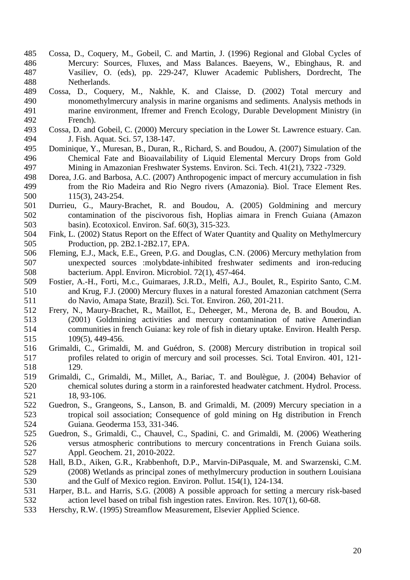- 485 Cossa, D., Coquery, M., Gobeil, C. and Martin, J. (1996) Regional and Global Cycles of 486 Mercury: Sources, Fluxes, and Mass Balances. Baeyens, W., Ebinghaus, R. and 487 Vasiliev, O. (eds), pp. 229-247, Kluwer Academic Publishers, Dordrecht, The 488 Netherlands.
- 489 Cossa, D., Coquery, M., Nakhle, K. and Claisse, D. (2002) Total mercury and 490 monomethylmercury analysis in marine organisms and sediments. Analysis methods in 491 marine environment, Ifremer and French Ecology, Durable Development Ministry (in 492 French).
- 493 Cossa, D. and Gobeil, C. (2000) Mercury speciation in the Lower St. Lawrence estuary. Can. 494 J. Fish. Aquat. Sci. 57, 138-147.<br>495 Dominique. Y., Muresan, B., Duran, R.
- Dominique, Y., Muresan, B., Duran, R., Richard, S. and Boudou, A. (2007) Simulation of the 496 Chemical Fate and Bioavailability of Liquid Elemental Mercury Drops from Gold 497 Mining in Amazonian Freshwater Systems. Environ. Sci. Tech. 41(21), 7322 -7329.
- 498 Dorea, J.G. and Barbosa, A.C. (2007) Anthropogenic impact of mercury accumulation in fish 499 from the Rio Madeira and Rio Negro rivers (Amazonia). Biol. Trace Element Res. 500 115(3), 243-254.
- 501 Durrieu, G., Maury-Brachet, R. and Boudou, A. (2005) Goldmining and mercury 502 contamination of the piscivorous fish, Hoplias aimara in French Guiana (Amazon 503 basin). Ecotoxicol. Environ. Saf. 60(3), 315-323.
- 504 Fink, L. (2002) Status Report on the Effect of Water Quantity and Quality on Methylmercury 505 Production, pp. 2B2.1-2B2.17, EPA.
- 506 Fleming, E.J., Mack, E.E., Green, P.G. and Douglas, C.N. (2006) Mercury methylation from 507 unexpected sources :molybdate-inhibited freshwater sediments and iron-reducing 508 bacterium. Appl. Environ. Microbiol. 72(1), 457-464.
- 509 Fostier, A.-H., Forti, M.c., Guimaraes, J.R.D., Melfi, A.J., Boulet, R., Espirito Santo, C.M. 510 and Krug, F.J. (2000) Mercury fluxes in a natural forested Amazonian catchment (Serra 511 do Navio, Amapa State, Brazil). Sci. Tot. Environ. 260, 201-211.
- 512 Frery, N., Maury-Brachet, R., Maillot, E., Deheeger, M., Merona de, B. and Boudou, A. 513 (2001) Goldmining activities and mercury contamination of native Amerindian 514 communities in french Guiana: key role of fish in dietary uptake. Environ. Health Persp. 515 109(5), 449-456.
- 516 Grimaldi, C., Grimaldi, M. and Guédron, S. (2008) Mercury distribution in tropical soil 517 profiles related to origin of mercury and soil processes. Sci. Total Environ. 401, 121- 518 129.
- 519 Grimaldi, C., Grimaldi, M., Millet, A., Bariac, T. and Boulègue, J. (2004) Behavior of 520 chemical solutes during a storm in a rainforested headwater catchment. Hydrol. Process. 521 18, 93-106.
- 522 Guedron, S., Grangeons, S., Lanson, B. and Grimaldi, M. (2009) Mercury speciation in a 523 tropical soil association; Consequence of gold mining on Hg distribution in French 524 Guiana. Geoderma 153, 331-346.
- 525 Guedron, S., Grimaldi, C., Chauvel, C., Spadini, C. and Grimaldi, M. (2006) Weathering 526 versus atmospheric contributions to mercury concentrations in French Guiana soils. 527 Appl. Geochem. 21, 2010-2022.
- 528 Hall, B.D., Aiken, G.R., Krabbenhoft, D.P., Marvin-DiPasquale, M. and Swarzenski, C.M. 529 (2008) Wetlands as principal zones of methylmercury production in southern Louisiana 530 and the Gulf of Mexico region. Environ. Pollut. 154(1), 124-134.
- 531 Harper, B.L. and Harris, S.G. (2008) A possible approach for setting a mercury risk-based 532 action level based on tribal fish ingestion rates. Environ. Res. 107(1), 60-68.
- 533 Herschy, R.W. (1995) Streamflow Measurement, Elsevier Applied Science.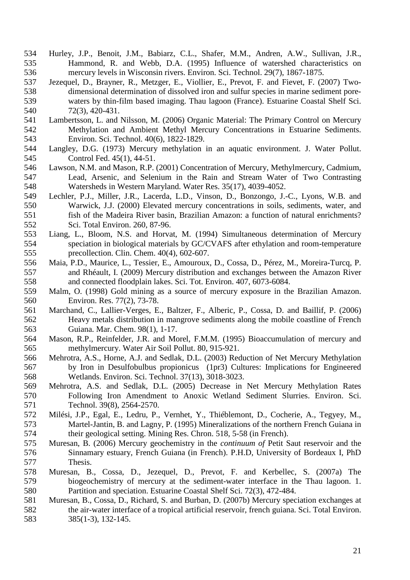- 534 Hurley, J.P., Benoit, J.M., Babiarz, C.L., Shafer, M.M., Andren, A.W., Sullivan, J.R., 535 Hammond, R. and Webb, D.A. (1995) Influence of watershed characteristics on 536 mercury levels in Wisconsin rivers. Environ. Sci. Technol. 29(7), 1867-1875.
- 537 Jezequel, D., Brayner, R., Metzger, E., Viollier, E., Prevot, F. and Fievet, F. (2007) Two-538 dimensional determination of dissolved iron and sulfur species in marine sediment pore-539 waters by thin-film based imaging. Thau lagoon (France). Estuarine Coastal Shelf Sci. 540 72(3), 420-431.
- 541 Lambertsson, L. and Nilsson, M. (2006) Organic Material: The Primary Control on Mercury 542 Methylation and Ambient Methyl Mercury Concentrations in Estuarine Sediments. 543 Environ. Sci. Technol. 40(6), 1822-1829.
- 544 Langley, D.G. (1973) Mercury methylation in an aquatic environment. J. Water Pollut. 545 Control Fed. 45(1), 44-51.
- 546 Lawson, N.M. and Mason, R.P. (2001) Concentration of Mercury, Methylmercury, Cadmium, 547 Lead, Arsenic, and Selenium in the Rain and Stream Water of Two Contrasting 548 Watersheds in Western Maryland. Water Res. 35(17), 4039-4052.
- 549 Lechler, P.J., Miller, J.R., Lacerda, L.D., Vinson, D., Bonzongo, J.-C., Lyons, W.B. and 550 Warwick, J.J. (2000) Elevated mercury concentrations in soils, sediments, water, and 551 fish of the Madeira River basin, Brazilian Amazon: a function of natural enrichments? 552 Sci. Total Environ. 260, 87-96.
- 553 Liang, L., Bloom, N.S. and Horvat, M. (1994) Simultaneous determination of Mercury 554 speciation in biological materials by GC/CVAFS after ethylation and room-temperature 555 precollection. Clin. Chem. 40(4), 602-607.
- 556 Maia, P.D., Maurice, L., Tessier, E., Amouroux, D., Cossa, D., Pérez, M., Moreira-Turcq, P. 557 and Rhéault, I. (2009) Mercury distribution and exchanges between the Amazon River 558 and connected floodplain lakes. Sci. Tot. Environ. 407, 6073-6084.
- 559 Malm, O. (1998) Gold mining as a source of mercury exposure in the Brazilian Amazon. 560 Environ. Res. 77(2), 73-78.
- 561 Marchand, C., Lallier-Verges, E., Baltzer, F., Alberic, P., Cossa, D. and Baillif, P. (2006) 562 Heavy metals distribution in mangrove sediments along the mobile coastline of French 563 Guiana. Mar. Chem. 98(1), 1-17.
- 564 Mason, R.P., Reinfelder, J.R. and Morel, F.M.M. (1995) Bioaccumulation of mercury and 565 methylmercury. Water Air Soil Pollut. 80, 915-921.
- 566 Mehrotra, A.S., Horne, A.J. and Sedlak, D.L. (2003) Reduction of Net Mercury Methylation 567 by Iron in Desulfobulbus propionicus (1pr3) Cultures: Implications for Engineered 568 Wetlands. Environ. Sci. Technol. 37(13), 3018-3023.
- 569 Mehrotra, A.S. and Sedlak, D.L. (2005) Decrease in Net Mercury Methylation Rates 570 Following Iron Amendment to Anoxic Wetland Sediment Slurries. Environ. Sci. 571 Technol. 39(8), 2564-2570.
- 572 Milési, J.P., Egal, E., Ledru, P., Vernhet, Y., Thiéblemont, D., Cocherie, A., Tegyey, M., 573 Martel-Jantin, B. and Lagny, P. (1995) Mineralizations of the northern French Guiana in 574 their geological setting. Mining Res. Chron. 518, 5-58 (in French).
- 575 Muresan, B. (2006) Mercury geochemistry in the *continuum of* Petit Saut reservoir and the 576 Sinnamary estuary, French Guiana (in French). P.H.D, University of Bordeaux I, PhD 577 Thesis.
- 578 Muresan, B., Cossa, D., Jezequel, D., Prevot, F. and Kerbellec, S. (2007a) The 579 biogeochemistry of mercury at the sediment-water interface in the Thau lagoon. 1. 580 Partition and speciation. Estuarine Coastal Shelf Sci. 72(3), 472-484.
- 581 Muresan, B., Cossa, D., Richard, S. and Burban, D. (2007b) Mercury speciation exchanges at 582 the air-water interface of a tropical artificial reservoir, french guiana. Sci. Total Environ. 583 385(1-3), 132-145.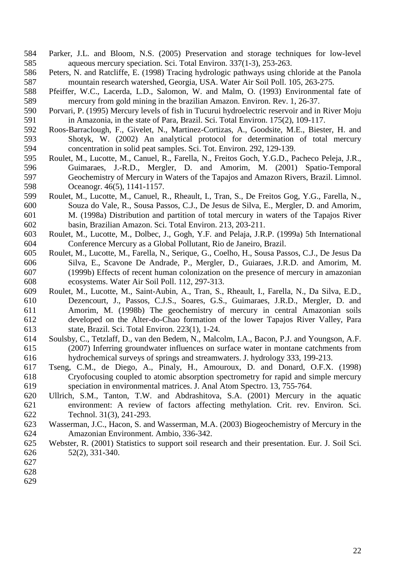- 584 Parker, J.L. and Bloom, N.S. (2005) Preservation and storage techniques for low-level 585 aqueous mercury speciation. Sci. Total Environ. 337(1-3), 253-263.
- 586 Peters, N. and Ratcliffe, E. (1998) Tracing hydrologic pathways using chloride at the Panola 587 mountain research watershed, Georgia, USA. Water Air Soil Poll. 105, 263-275.
- 588 Pfeiffer, W.C., Lacerda, L.D., Salomon, W. and Malm, O. (1993) Environmental fate of 589 mercury from gold mining in the brazilian Amazon. Environ. Rev. 1, 26-37.
- 590 Porvari, P. (1995) Mercury levels of fish in Tucurui hydroelectric reservoir and in River Moju 591 in Amazonia, in the state of Para, Brazil. Sci. Total Environ. 175(2), 109-117.
- 592 Roos-Barraclough, F., Givelet, N., Martinez-Cortizas, A., Goodsite, M.E., Biester, H. and 593 Shotyk, W. (2002) An analytical protocol for determination of total mercury 594 concentration in solid peat samples. Sci. Tot. Environ. 292, 129-139.
- 595 Roulet, M., Lucotte, M., Canuel, R., Farella, N., Freitos Goch, Y.G.D., Pacheco Peleja, J.R., 596 Guimaraes, J.-R.D., Mergler, D. and Amorim, M. (2001) Spatio-Temporal 597 Geochemistry of Mercury in Waters of the Tapajos and Amazon Rivers, Brazil. Limnol. 598 Oceanogr. 46(5), 1141-1157.
- 599 Roulet, M., Lucotte, M., Canuel, R., Rheault, I., Tran, S., De Freitos Gog, Y.G., Farella, N., 600 Souza do Vale, R., Sousa Passos, C.J., De Jesus de Silva, E., Mergler, D. and Amorim, 601 M. (1998a) Distribution and partition of total mercury in waters of the Tapajos River 602 basin, Brazilian Amazon. Sci. Total Environ. 213, 203-211.
- 603 Roulet, M., Lucotte, M., Dolbec, J., Gogh, Y.F. and Pelaja, J.R.P. (1999a) 5th International 604 Conference Mercury as a Global Pollutant, Rio de Janeiro, Brazil.
- 605 Roulet, M., Lucotte, M., Farella, N., Serique, G., Coelho, H., Sousa Passos, C.J., De Jesus Da 606 Silva, E., Scavone De Andrade, P., Mergler, D., Guiaraes, J.R.D. and Amorim, M. 607 (1999b) Effects of recent human colonization on the presence of mercury in amazonian 608 ecosystems. Water Air Soil Poll. 112, 297-313.
- 609 Roulet, M., Lucotte, M., Saint-Aubin, A., Tran, S., Rheault, I., Farella, N., Da Silva, E.D., 610 Dezencourt, J., Passos, C.J.S., Soares, G.S., Guimaraes, J.R.D., Mergler, D. and 611 Amorim, M. (1998b) The geochemistry of mercury in central Amazonian soils 612 developed on the Alter-do-Chao formation of the lower Tapajos River Valley, Para 613 state, Brazil. Sci. Total Environ. 223(1), 1-24.
- 614 Soulsby, C., Tetzlaff, D., van den Bedem, N., Malcolm, I.A., Bacon, P.J. and Youngson, A.F. 615 (2007) Inferring groundwater influences on surface water in montane catchments from 616 hydrochemical surveys of springs and streamwaters. J. hydrology 333, 199-213.
- 617 Tseng, C.M., de Diego, A., Pinaly, H., Amouroux, D. and Donard, O.F.X. (1998) 618 Cryofocusing coupled to atomic absorption spectrometry for rapid and simple mercury 619 speciation in environmental matrices. J. Anal Atom Spectro. 13, 755-764.
- 620 Ullrich, S.M., Tanton, T.W. and Abdrashitova, S.A. (2001) Mercury in the aquatic 621 environment: A review of factors affecting methylation. Crit. rev. Environ. Sci. 622 Technol. 31(3), 241-293.
- 623 Wasserman, J.C., Hacon, S. and Wasserman, M.A. (2003) Biogeochemistry of Mercury in the 624 Amazonian Environment. Ambio, 336-342.
- 625 Webster, R. (2001) Statistics to support soil research and their presentation. Eur. J. Soil Sci. 626 52(2), 331-340.
- 627 628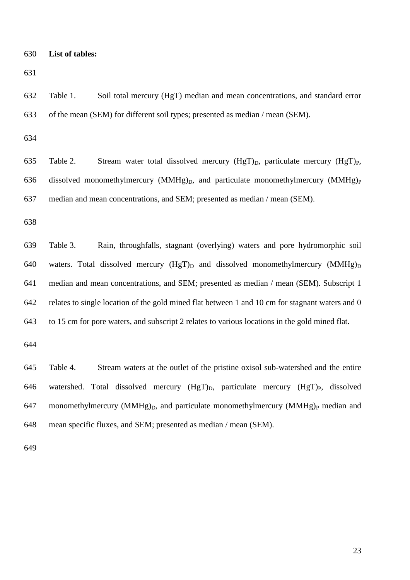630 **List of tables:** 

631

632 Table 1. Soil total mercury (HgT) median and mean concentrations, and standard error 633 of the mean (SEM) for different soil types; presented as median / mean (SEM).

634

635 Table 2. Stream water total dissolved mercury  $(HgT)_D$ , particulate mercury  $(HgT)_P$ , 636 dissolved monomethylmercury (MMHg)<sub>D</sub>, and particulate monomethylmercury (MMHg)<sub>P</sub> 637 median and mean concentrations, and SEM; presented as median / mean (SEM).

638

639 Table 3. Rain, throughfalls, stagnant (overlying) waters and pore hydromorphic soil 640 waters. Total dissolved mercury  $(HgT)_D$  and dissolved monomethylmercury  $(MMHg)_D$ 641 median and mean concentrations, and SEM; presented as median / mean (SEM). Subscript 1 642 relates to single location of the gold mined flat between 1 and 10 cm for stagnant waters and 0 643 to 15 cm for pore waters, and subscript 2 relates to various locations in the gold mined flat.

644

645 Table 4. Stream waters at the outlet of the pristine oxisol sub-watershed and the entire 646 watershed. Total dissolved mercury  $(HgT)_D$ , particulate mercury  $(HgT)_P$ , dissolved 647 monomethylmercury (MMHg)<sub>D</sub>, and particulate monomethylmercury (MMHg)<sub>P</sub> median and 648 mean specific fluxes, and SEM; presented as median / mean (SEM).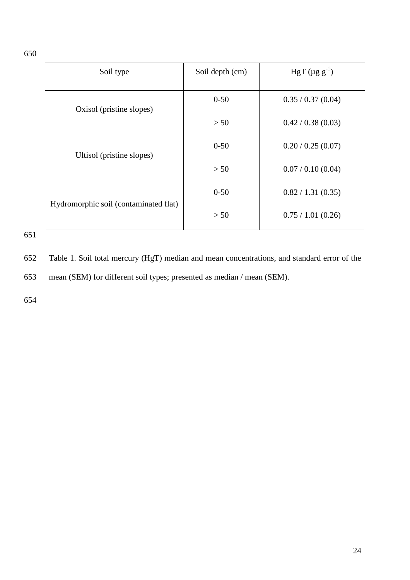| Soil type                             | Soil depth (cm) | HgT $(\mu g g^{-1})$ |
|---------------------------------------|-----------------|----------------------|
| Oxisol (pristine slopes)              | $0 - 50$        | 0.35 / 0.37 (0.04)   |
|                                       | > 50            | 0.42 / 0.38 (0.03)   |
| Ultisol (pristine slopes)             | $0 - 50$        | 0.20 / 0.25 (0.07)   |
|                                       | > 50            | 0.07 / 0.10 (0.04)   |
| Hydromorphic soil (contaminated flat) | $0 - 50$        | 0.82 / 1.31 (0.35)   |
|                                       | > 50            | 0.75 / 1.01 (0.26)   |

651

652 Table 1. Soil total mercury (HgT) median and mean concentrations, and standard error of the 653 mean (SEM) for different soil types; presented as median / mean (SEM).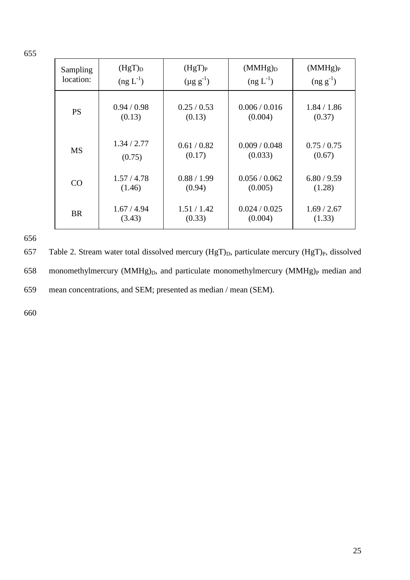| Sampling  | (HgT) <sub>D</sub>    | (HgT) <sub>P</sub> | $(MMHg)_{D}$  | (MMHg) <sub>P</sub> |
|-----------|-----------------------|--------------------|---------------|---------------------|
| location: | $(\text{ng } L^{-1})$ | $(\mu g g^{-1})$   | $(ng L-1)$    | $(ng g^{-1})$       |
| <b>PS</b> | 0.94/0.98             | 0.25/0.53          | 0.006 / 0.016 | 1.84 / 1.86         |
|           | (0.13)                | (0.13)             | (0.004)       | (0.37)              |
| <b>MS</b> | 1.34 / 2.77           | 0.61 / 0.82        | 0.009 / 0.048 | 0.75/0.75           |
|           | (0.75)                | (0.17)             | (0.033)       | (0.67)              |
| CO        | 1.57/4.78             | 0.88 / 1.99        | 0.056 / 0.062 | 6.80 / 9.59         |
|           | (1.46)                | (0.94)             | (0.005)       | (1.28)              |
| <b>BR</b> | 1.67 / 4.94           | 1.51 / 1.42        | 0.024 / 0.025 | 1.69/2.67           |
|           | (3.43)                | (0.33)             | (0.004)       | (1.33)              |

657 Table 2. Stream water total dissolved mercury  $(HgT)_D$ , particulate mercury  $(HgT)_P$ , dissolved 658 monomethylmercury (MMHg)<sub>D</sub>, and particulate monomethylmercury (MMHg)<sub>P</sub> median and 659 mean concentrations, and SEM; presented as median / mean (SEM).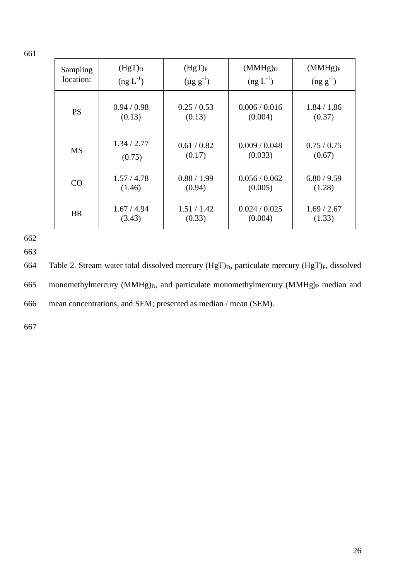| Sampling  | (HgT) <sub>D</sub> | (HgT) <sub>P</sub> | $(MMHg)_{D}$  | (MMHg) <sub>P</sub> |
|-----------|--------------------|--------------------|---------------|---------------------|
| location: | $(ng L-1)$         | $(\mu g g^{-1})$   | $(ng L-1)$    | $(ng g^{-1})$       |
| <b>PS</b> | 0.94/0.98          | 0.25/0.53          | 0.006 / 0.016 | 1.84 / 1.86         |
|           | (0.13)             | (0.13)             | (0.004)       | (0.37)              |
| <b>MS</b> | 1.34/2.77          | 0.61 / 0.82        | 0.009 / 0.048 | 0.75/0.75           |
|           | (0.75)             | (0.17)             | (0.033)       | (0.67)              |
| CO        | 1.57/4.78          | 0.88 / 1.99        | 0.056 / 0.062 | 6.80 / 9.59         |
|           | (1.46)             | (0.94)             | (0.005)       | (1.28)              |
| <b>BR</b> | 1.67 / 4.94        | 1.51 / 1.42        | 0.024 / 0.025 | 1.69/2.67           |
|           | (3.43)             | (0.33)             | (0.004)       | (1.33)              |

663

664 Table 2. Stream water total dissolved mercury  $(HgT)_D$ , particulate mercury  $(HgT)_P$ , dissolved 665 monomethylmercury (MMHg)<sub>D</sub>, and particulate monomethylmercury (MMHg)<sub>P</sub> median and 666 mean concentrations, and SEM; presented as median / mean (SEM).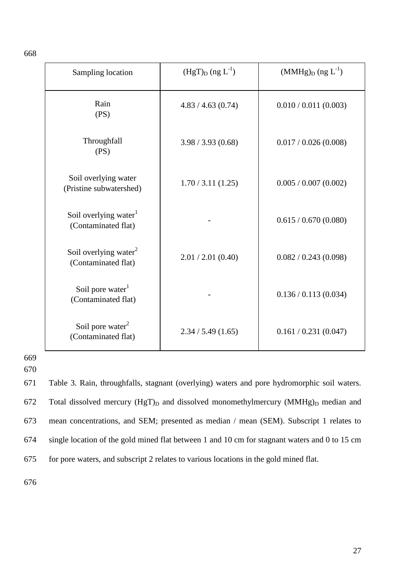| Sampling location                                        | $(HgT)_D (ng L^{-1})$ | $(MMHg)_{D}$ (ng $L^{-1}$ ) |
|----------------------------------------------------------|-----------------------|-----------------------------|
| Rain<br>(PS)                                             | 4.83 / 4.63 (0.74)    | 0.010 / 0.011 (0.003)       |
| Throughfall<br>(PS)                                      | 3.98 / 3.93 (0.68)    | 0.017 / 0.026 (0.008)       |
| Soil overlying water<br>(Pristine subwatershed)          | 1.70 / 3.11 (1.25)    | 0.005 / 0.007 (0.002)       |
| Soil overlying water <sup>1</sup><br>(Contaminated flat) |                       | 0.615 / 0.670 (0.080)       |
| Soil overlying water <sup>2</sup><br>(Contaminated flat) | 2.01 / 2.01 (0.40)    | 0.082 / 0.243 (0.098)       |
| Soil pore water <sup>1</sup><br>(Contaminated flat)      |                       | 0.136 / 0.113 (0.034)       |
| Soil pore water <sup>2</sup><br>(Contaminated flat)      | 2.34 / 5.49 (1.65)    | 0.161 / 0.231 (0.047)       |

669

670

671 Table 3. Rain, throughfalls, stagnant (overlying) waters and pore hydromorphic soil waters. 672 Total dissolved mercury  $(HgT)_D$  and dissolved monomethylmercury  $(MMHg)_D$  median and 673 mean concentrations, and SEM; presented as median / mean (SEM). Subscript 1 relates to 674 single location of the gold mined flat between 1 and 10 cm for stagnant waters and 0 to 15 cm 675 for pore waters, and subscript 2 relates to various locations in the gold mined flat.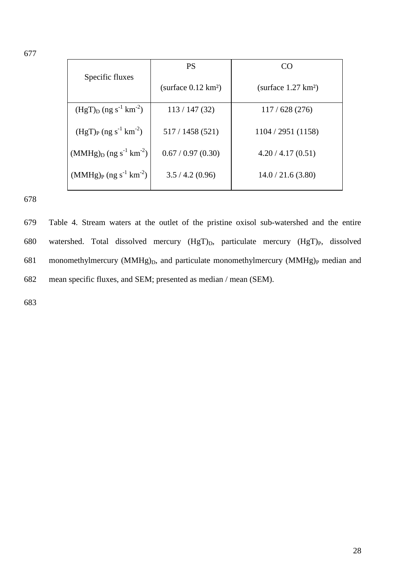|                                                     | <b>PS</b>                      | CO                              |  |
|-----------------------------------------------------|--------------------------------|---------------------------------|--|
| Specific fluxes                                     | (surface $0.12 \text{ km}^2$ ) | (surface 1.27 km <sup>2</sup> ) |  |
| $(HgT)_D$ (ng s <sup>-1</sup> km <sup>-2</sup> )    | 113/147(32)                    | 117/628(276)                    |  |
| $(HgT)P (ng s-1 km-2)$                              | 517/1458(521)                  | 1104 / 2951 (1158)              |  |
| $(MMHg)_{D}$ (ng s <sup>-1</sup> km <sup>-2</sup> ) | 0.67 / 0.97 (0.30)             | 4.20 / 4.17 (0.51)              |  |
| $(MMHg)_{P}$ (ng s <sup>-1</sup> km <sup>-2</sup> ) | 3.5/4.2(0.96)                  | 14.0 / 21.6 (3.80)              |  |

679 Table 4. Stream waters at the outlet of the pristine oxisol sub-watershed and the entire 680 watershed. Total dissolved mercury  $(HgT)_D$ , particulate mercury  $(HgT)_P$ , dissolved 681 monomethylmercury (MMHg)<sub>D</sub>, and particulate monomethylmercury (MMHg)<sub>P</sub> median and 682 mean specific fluxes, and SEM; presented as median / mean (SEM).

683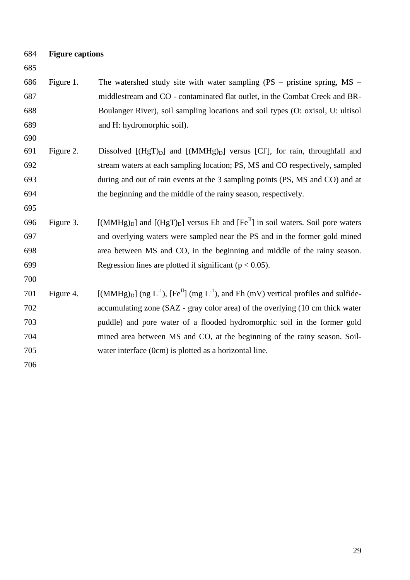| 684 | <b>Figure captions</b> |                                                                                                                                     |
|-----|------------------------|-------------------------------------------------------------------------------------------------------------------------------------|
| 685 |                        |                                                                                                                                     |
| 686 | Figure 1.              | The watershed study site with water sampling $(PS - pristine spring, MS -$                                                          |
| 687 |                        | middlestream and CO - contaminated flat outlet, in the Combat Creek and BR-                                                         |
| 688 |                        | Boulanger River), soil sampling locations and soil types (O: oxisol, U: ultisol                                                     |
| 689 |                        | and H: hydromorphic soil).                                                                                                          |
| 690 |                        |                                                                                                                                     |
| 691 | Figure 2.              | Dissolved $[(HgT)_D]$ and $[(MMHg)_D]$ versus [Cl], for rain, throughfall and                                                       |
| 692 |                        | stream waters at each sampling location; PS, MS and CO respectively, sampled                                                        |
| 693 |                        | during and out of rain events at the 3 sampling points (PS, MS and CO) and at                                                       |
| 694 |                        | the beginning and the middle of the rainy season, respectively.                                                                     |
| 695 |                        |                                                                                                                                     |
| 696 | Figure 3.              | [(MMHg) <sub>D</sub> ] and [(HgT) <sub>D</sub> ] versus Eh and [Fe <sup>II</sup> ] in soil waters. Soil pore waters                 |
| 697 |                        | and overlying waters were sampled near the PS and in the former gold mined                                                          |
| 698 |                        | area between MS and CO, in the beginning and middle of the rainy season.                                                            |
| 699 |                        | Regression lines are plotted if significant ( $p < 0.05$ ).                                                                         |
| 700 |                        |                                                                                                                                     |
| 701 | Figure 4.              | [(MMHg) <sub>D</sub> ] (ng L <sup>-1</sup> ), [Fe <sup>II</sup> ] (mg L <sup>-1</sup> ), and Eh (mV) vertical profiles and sulfide- |
| 702 |                        | accumulating zone (SAZ - gray color area) of the overlying (10 cm thick water                                                       |
| 703 |                        | puddle) and pore water of a flooded hydromorphic soil in the former gold                                                            |
| 704 |                        | mined area between MS and CO, at the beginning of the rainy season. Soil-                                                           |
| 705 |                        | water interface (0cm) is plotted as a horizontal line.                                                                              |
| 706 |                        |                                                                                                                                     |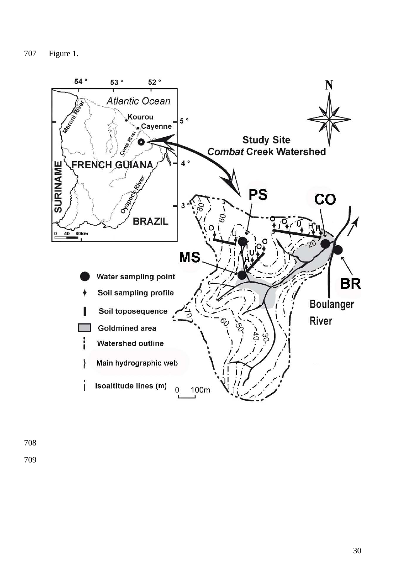707 Figure 1.

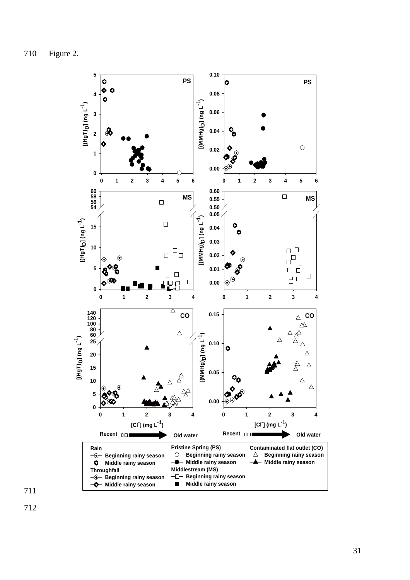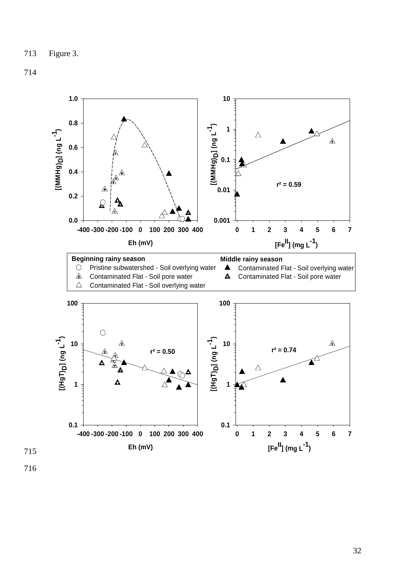